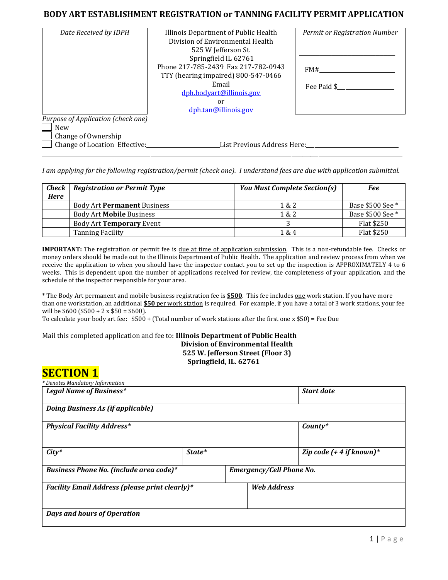### **BODY ART ESTABLISHMENT REGISTRATION or TANNING FACILITY PERMIT APPLICATION**

| Date Received by IDPH                                                   | Illinois Department of Public Health<br>Division of Environmental Health<br>525 W Jefferson St.<br>Springfield IL 62761<br>Phone 217-785-2439 Fax 217-782-0943<br>TTY (hearing impaired) 800-547-0466<br>Email<br>dph.bodyart@illinois.gov<br>or<br>dph.tan@illinois.gov | Permit or Registration Number<br>FM#<br>Fee Paid \$ |
|-------------------------------------------------------------------------|--------------------------------------------------------------------------------------------------------------------------------------------------------------------------------------------------------------------------------------------------------------------------|-----------------------------------------------------|
| Purpose of Application (check one)<br><b>New</b><br>Change of Ownership |                                                                                                                                                                                                                                                                          |                                                     |
| Change of Location Effective:                                           | List Previous Address Here:___                                                                                                                                                                                                                                           |                                                     |

*I am applying for the following registration/permit (check one). I understand fees are due with application submittal.*

\_\_\_\_\_\_\_\_\_\_\_\_\_\_\_\_\_\_\_\_\_\_\_\_\_\_\_\_\_\_\_\_\_\_\_\_\_\_\_\_\_\_\_\_\_\_\_\_\_\_\_\_\_\_\_\_\_\_\_\_\_\_\_\_\_\_\_\_\_\_\_\_\_\_\_\_\_\_\_\_\_\_\_\_\_\_\_\_\_\_\_\_\_\_\_\_\_\_\_\_\_\_\_\_\_\_\_\_\_\_\_\_\_\_\_\_\_\_\_\_\_\_\_\_\_\_\_\_\_\_\_\_\_

| $Check \mid$<br><b>Here</b> | <b>Registration or Permit Type</b> | <b>You Must Complete Section(s)</b> | Fee              |
|-----------------------------|------------------------------------|-------------------------------------|------------------|
|                             | Body Art <b>Permanent</b> Business | 1 & 2                               | Base \$500 See * |
|                             | Body Art Mobile Business           | 1 & 2                               | Base \$500 See * |
|                             | Body Art Temporary Event           |                                     | Flat \$250       |
|                             | Tanning Facility                   | 1 & 4                               | Flat \$250       |

**IMPORTANT:** The registration or permit fee is due at time of application submission. This is a non-refundable fee. Checks or money orders should be made out to the Illinois Department of Public Health. The application and review process from when we receive the application to when you should have the inspector contact you to set up the inspection is APPROXIMATELY 4 to 6 weeks. This is dependent upon the number of applications received for review, the completeness of your application, and the schedule of the inspector responsible for your area.

\* The Body Art permanent and mobile business registration fee is **\$500**. This fee includes one work station. If you have more than one workstation, an additional **\$50** per work station is required. For example, if you have a total of 3 work stations, your fee will be  $$600 ($500 + 2 x $50 = $600$ .

To calculate your body art fee: \$500 + (Total number of work stations after the first one x \$50) = Fee Due

### Mail this completed application and fee to: **Illinois Department of Public Health Division of Environmental Health 525 W. Jefferson Street (Floor 3) Springfield, IL. 62761**

## **SECTION 1**

| * Denotes Mandatory Information<br>Legal Name of Business* |        |                                 | <b>Start date</b>           |
|------------------------------------------------------------|--------|---------------------------------|-----------------------------|
| Doing Business As (if applicable)                          |        |                                 |                             |
| <b>Physical Facility Address*</b>                          |        |                                 | $Country*$                  |
| $City*$                                                    | State* |                                 | Zip code $( + 4$ if known)* |
| Business Phone No. (include area code)*                    |        | <b>Emergency/Cell Phone No.</b> |                             |
| <b>Facility Email Address (please print clearly)*</b>      |        | <b>Web Address</b>              |                             |
| Days and hours of Operation                                |        |                                 |                             |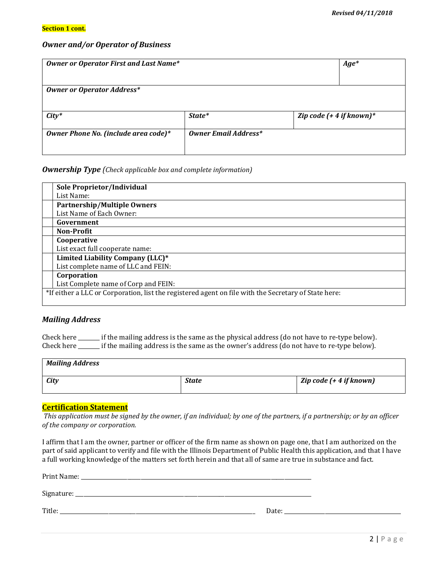### *Owner and/or Operator of Business*

| <b>Owner or Operator First and Last Name*</b> |                             | $Age*$                     |  |
|-----------------------------------------------|-----------------------------|----------------------------|--|
|                                               |                             |                            |  |
| <b>Owner or Operator Address*</b>             |                             |                            |  |
| $City*$                                       | State*                      | Zip code $(+ 4 if known)*$ |  |
| Owner Phone No. (include area code)*          | <b>Owner Email Address*</b> |                            |  |

### *Ownership Type (Check applicable box and complete information)*

| Sole Proprietor/Individual                                                                           |  |
|------------------------------------------------------------------------------------------------------|--|
| List Name:                                                                                           |  |
| <b>Partnership/Multiple Owners</b>                                                                   |  |
| List Name of Each Owner:                                                                             |  |
| Government                                                                                           |  |
| Non-Profit                                                                                           |  |
| Cooperative                                                                                          |  |
| List exact full cooperate name:                                                                      |  |
| Limited Liability Company (LLC)*                                                                     |  |
| List complete name of LLC and FEIN:                                                                  |  |
| Corporation                                                                                          |  |
| List Complete name of Corp and FEIN:                                                                 |  |
| *If either a LLC or Corporation, list the registered agent on file with the Secretary of State here: |  |

### *Mailing Address*

Check here \_\_\_\_\_\_\_\_ if the mailing address is the same as the physical address (do not have to re-type below). Check here \_\_\_\_\_\_\_\_ if the mailing address is the same as the owner's address (do not have to re-type below).

| <b>Mailing Address</b> |              |                         |
|------------------------|--------------|-------------------------|
| <b>City</b>            | <b>State</b> | Zip code (+ 4 if known) |

### **Certification Statement**

*This application must be signed by the owner, if an individual; by one of the partners, if a partnership; or by an officer of the company or corporation.*

I affirm that I am the owner, partner or officer of the firm name as shown on page one, that I am authorized on the part of said applicant to verify and file with the Illinois Department of Public Health this application, and that I have a full working knowledge of the matters set forth herein and that all of same are true in substance and fact.

| Print Name: |       |
|-------------|-------|
| Signature:  |       |
| Title:      | Date: |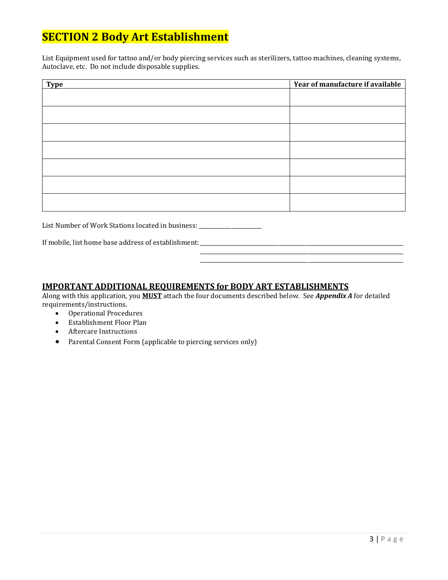# **SECTION 2 Body Art Establishment**

List Equipment used for tattoo and/or body piercing services such as sterilizers, tattoo machines, cleaning systems, Autoclave, etc. Do not include disposable supplies.

| Type | Year of manufacture if available |
|------|----------------------------------|
|      |                                  |
|      |                                  |
|      |                                  |
|      |                                  |
|      |                                  |
|      |                                  |
|      |                                  |

List Number of Work Stations located in business: \_\_\_\_\_\_\_\_\_\_\_\_\_\_\_\_\_\_\_\_\_\_\_\_\_\_\_\_\_\_

If mobile, list home base address of establishment: \_\_\_\_\_\_\_\_\_\_\_\_\_\_\_\_\_\_\_\_\_\_\_\_\_\_\_\_

### **IMPORTANT ADDITIONAL REQUIREMENTS for BODY ART ESTABLISHMENTS**

Along with this application, you **MUST** attach the four documents described below. See *Appendix A* for detailed requirements/instructions.

\_\_\_\_\_\_\_\_\_\_\_\_\_\_\_\_\_\_\_\_\_\_\_\_\_\_\_\_\_\_\_\_\_\_\_\_\_\_\_\_\_\_\_\_\_\_\_\_\_\_\_\_\_\_\_\_\_\_\_\_\_\_\_\_\_\_\_\_\_\_\_\_\_\_\_ \_\_\_\_\_\_\_\_\_\_\_\_\_\_\_\_\_\_\_\_\_\_\_\_\_\_\_\_\_\_\_\_\_\_\_\_\_\_\_\_\_\_\_\_\_\_\_\_\_\_\_\_\_\_\_\_\_\_\_\_\_\_\_\_\_\_\_\_\_\_\_\_\_\_\_

- Operational Procedures
- Establishment Floor Plan
- Aftercare Instructions
- Parental Consent Form (applicable to piercing services only)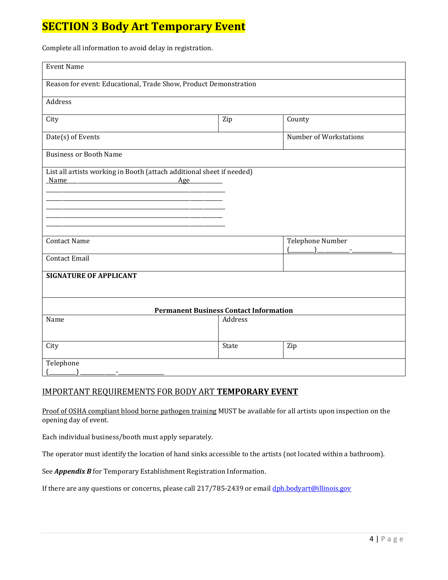# **SECTION 3 Body Art Temporary Event**

Complete all information to avoid delay in registration.

| <b>Event Name</b>                                                                                                                                      |                                               |                        |
|--------------------------------------------------------------------------------------------------------------------------------------------------------|-----------------------------------------------|------------------------|
| Reason for event: Educational, Trade Show, Product Demonstration                                                                                       |                                               |                        |
| Address                                                                                                                                                |                                               |                        |
| City                                                                                                                                                   | Zip                                           | County                 |
| Date(s) of Events                                                                                                                                      |                                               | Number of Workstations |
| <b>Business or Booth Name</b>                                                                                                                          |                                               |                        |
| List all artists working in Booth (attach additional sheet if needed)<br><b>Name</b><br>Age<br><u> 1980 - Johann Barn, mars ann an t-Amhair an t-A</u> |                                               |                        |
| <b>Contact Name</b>                                                                                                                                    |                                               | Telephone Number       |
| <b>Contact Email</b>                                                                                                                                   |                                               |                        |
| <b>SIGNATURE OF APPLICANT</b>                                                                                                                          |                                               |                        |
|                                                                                                                                                        | <b>Permanent Business Contact Information</b> |                        |
| Name                                                                                                                                                   | Address                                       |                        |
| City                                                                                                                                                   | State                                         | Zip                    |
| Telephone<br>÷.                                                                                                                                        |                                               |                        |

### IMPORTANT REQUIREMENTS FOR BODY ART **TEMPORARY EVENT**

Proof of OSHA compliant blood borne pathogen training MUST be available for all artists upon inspection on the opening day of event.

Each individual business/booth must apply separately.

The operator must identify the location of hand sinks accessible to the artists (not located within a bathroom).

See *Appendix B* for Temporary Establishment Registration Information.

If there are any questions or concerns, please call 217/785-2439 or emai[l dph.bodyart@illinois.gov](mailto:dph.bodyart@illinois.gov)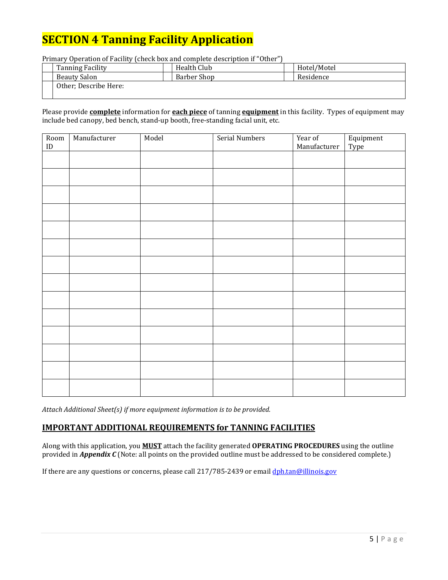# **SECTION 4 Tanning Facility Application**

Primary Operation of Facility (check box and complete description if "Other")

| <b>Tanning Facility</b> | Health Club | Hotel/Motel |
|-------------------------|-------------|-------------|
| Beauty Salon            | Barber Shop | Residence   |
| Other; Describe Here:   |             |             |

Please provide **complete** information for **each piece** of tanning **equipment** in this facility. Types of equipment may include bed canopy, bed bench, stand-up booth, free-standing facial unit, etc.

| Room<br>$\mathop{\rm ID}$ | Manufacturer | Model | Serial Numbers | Year of<br>Manufacturer | Equipment<br>Type |
|---------------------------|--------------|-------|----------------|-------------------------|-------------------|
|                           |              |       |                |                         |                   |
|                           |              |       |                |                         |                   |
|                           |              |       |                |                         |                   |
|                           |              |       |                |                         |                   |
|                           |              |       |                |                         |                   |
|                           |              |       |                |                         |                   |
|                           |              |       |                |                         |                   |
|                           |              |       |                |                         |                   |
|                           |              |       |                |                         |                   |
|                           |              |       |                |                         |                   |
|                           |              |       |                |                         |                   |
|                           |              |       |                |                         |                   |
|                           |              |       |                |                         |                   |
|                           |              |       |                |                         |                   |

*Attach Additional Sheet(s) if more equipment information is to be provided.*

### **IMPORTANT ADDITIONAL REQUIREMENTS for TANNING FACILITIES**

Along with this application, you **MUST** attach the facility generated **OPERATING PROCEDURES** using the outline provided in *Appendix C* (Note: all points on the provided outline must be addressed to be considered complete.)

If there are any questions or concerns, please call 217/785-2439 or emai[l dph.tan@illinois.gov](mailto:dph.tan@illinois.gov)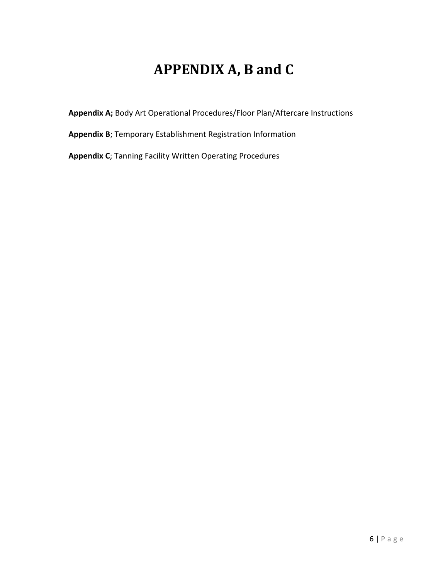# **APPENDIX A, B and C**

**Appendix A;** Body Art Operational Procedures/Floor Plan/Aftercare Instructions

**Appendix B**; Temporary Establishment Registration Information

**Appendix C**; Tanning Facility Written Operating Procedures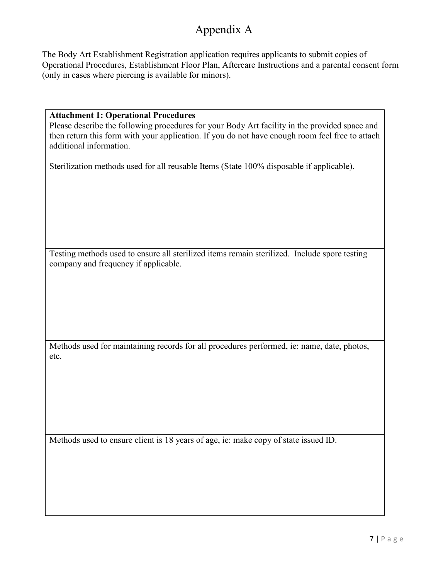## Appendix A

The Body Art Establishment Registration application requires applicants to submit copies of Operational Procedures, Establishment Floor Plan, Aftercare Instructions and a parental consent form (only in cases where piercing is available for minors).

### **Attachment 1: Operational Procedures**

Please describe the following procedures for your Body Art facility in the provided space and then return this form with your application. If you do not have enough room feel free to attach additional information.

Sterilization methods used for all reusable Items (State 100% disposable if applicable).

Testing methods used to ensure all sterilized items remain sterilized. Include spore testing company and frequency if applicable.

Methods used for maintaining records for all procedures performed, ie: name, date, photos, etc.

Methods used to ensure client is 18 years of age, ie: make copy of state issued ID.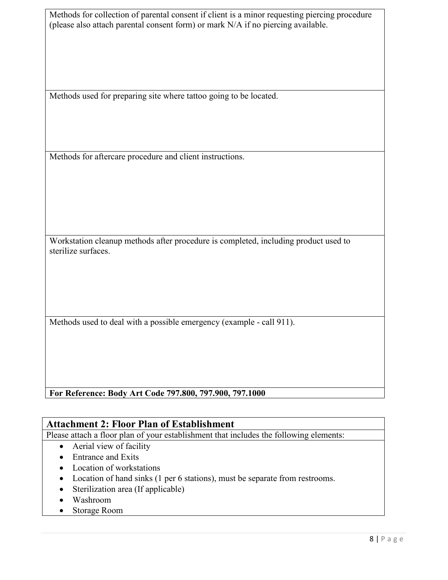| Methods for collection of parental consent if client is a minor requesting piercing procedure |
|-----------------------------------------------------------------------------------------------|
| (please also attach parental consent form) or mark N/A if no piercing available.              |

Methods used for preparing site where tattoo going to be located.

Methods for aftercare procedure and client instructions.

Workstation cleanup methods after procedure is completed, including product used to sterilize surfaces.

Methods used to deal with a possible emergency (example - call 911).

**For Reference: Body Art Code 797.800, 797.900, 797.1000**

## **Attachment 2: Floor Plan of Establishment**

Please attach a floor plan of your establishment that includes the following elements:

- Aerial view of facility
- Entrance and Exits
- Location of workstations
- Location of hand sinks (1 per 6 stations), must be separate from restrooms.
- Sterilization area (If applicable)
- Washroom
- Storage Room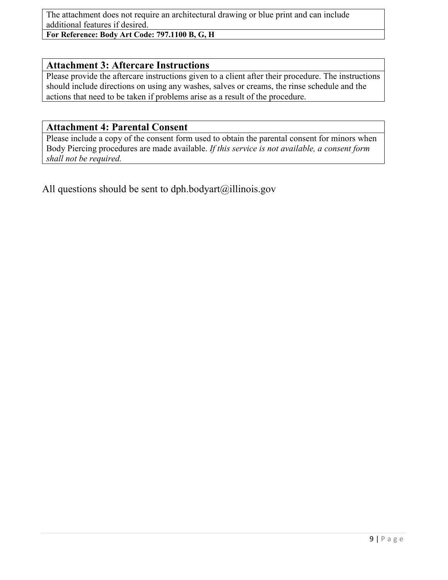The attachment does not require an architectural drawing or blue print and can include additional features if desired.

**For Reference: Body Art Code: 797.1100 B, G, H**

### **Attachment 3: Aftercare Instructions**

Please provide the aftercare instructions given to a client after their procedure. The instructions should include directions on using any washes, salves or creams, the rinse schedule and the actions that need to be taken if problems arise as a result of the procedure.

## **Attachment 4: Parental Consent**

Please include a copy of the consent form used to obtain the parental consent for minors when Body Piercing procedures are made available. *If this service is not available, a consent form shall not be required.* 

All questions should be sent to dph.bodyart $(\partial)$ illinois.gov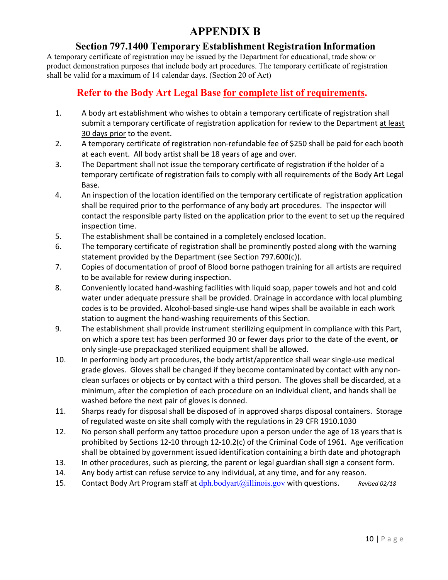## **APPENDIX B**

## **Section 797.1400 Temporary Establishment Registration Information**

A temporary certificate of registration may be issued by the Department for educational, trade show or product demonstration purposes that include body art procedures. The temporary certificate of registration shall be valid for a maximum of 14 calendar days. (Section 20 of Act)

## **Refer to the Body Art Legal Base for complete list of requirements.**

- 1. A body art establishment who wishes to obtain a temporary certificate of registration shall submit a temporary certificate of registration application for review to the Department at least 30 days prior to the event.
- 2. A temporary certificate of registration non-refundable fee of \$250 shall be paid for each booth at each event. All body artist shall be 18 years of age and over.
- 3. The Department shall not issue the temporary certificate of registration if the holder of a temporary certificate of registration fails to comply with all requirements of the Body Art Legal Base.
- 4. An inspection of the location identified on the temporary certificate of registration application shall be required prior to the performance of any body art procedures. The inspector will contact the responsible party listed on the application prior to the event to set up the required inspection time.
- 5. The establishment shall be contained in a completely enclosed location.
- 6. The temporary certificate of registration shall be prominently posted along with the warning statement provided by the Department (see Section 797.600(c)).
- 7. Copies of documentation of proof of Blood borne pathogen training for all artists are required to be available for review during inspection.
- 8. Conveniently located hand-washing facilities with liquid soap, paper towels and hot and cold water under adequate pressure shall be provided. Drainage in accordance with local plumbing codes is to be provided. Alcohol-based single-use hand wipes shall be available in each work station to augment the hand-washing requirements of this Section.
- 9. The establishment shall provide instrument sterilizing equipment in compliance with this Part, on which a spore test has been performed 30 or fewer days prior to the date of the event, **or** only single-use prepackaged sterilized equipment shall be allowed.
- 10. In performing body art procedures, the body artist/apprentice shall wear single-use medical grade gloves. Gloves shall be changed if they become contaminated by contact with any nonclean surfaces or objects or by contact with a third person. The gloves shall be discarded, at a minimum, after the completion of each procedure on an individual client, and hands shall be washed before the next pair of gloves is donned.
- 11. Sharps ready for disposal shall be disposed of in approved sharps disposal containers. Storage of regulated waste on site shall comply with the regulations in 29 CFR 1910.1030
- 12. No person shall perform any tattoo procedure upon a person under the age of 18 years that is prohibited by Sections 12-10 through 12-10.2(c) of the Criminal Code of 1961. Age verification shall be obtained by government issued identification containing a birth date and photograph
- 13. In other procedures, such as piercing, the parent or legal guardian shall sign a consent form.
- 14. Any body artist can refuse service to any individual, at any time, and for any reason.
- 15. Contact Body Art Program staff at  $\frac{dph.bodyart(a)$ illinois.gov with questions. *Revised 02/18*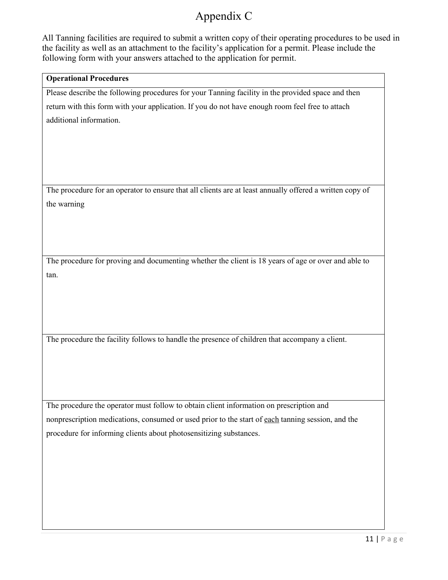# Appendix C

All Tanning facilities are required to submit a written copy of their operating procedures to be used in the facility as well as an attachment to the facility's application for a permit. Please include the following form with your answers attached to the application for permit.

### **Operational Procedures**

Please describe the following procedures for your Tanning facility in the provided space and then

return with this form with your application. If you do not have enough room feel free to attach additional information.

The procedure for an operator to ensure that all clients are at least annually offered a written copy of the warning

The procedure for proving and documenting whether the client is 18 years of age or over and able to tan.

The procedure the facility follows to handle the presence of children that accompany a client.

The procedure the operator must follow to obtain client information on prescription and nonprescription medications, consumed or used prior to the start of each tanning session, and the procedure for informing clients about photosensitizing substances.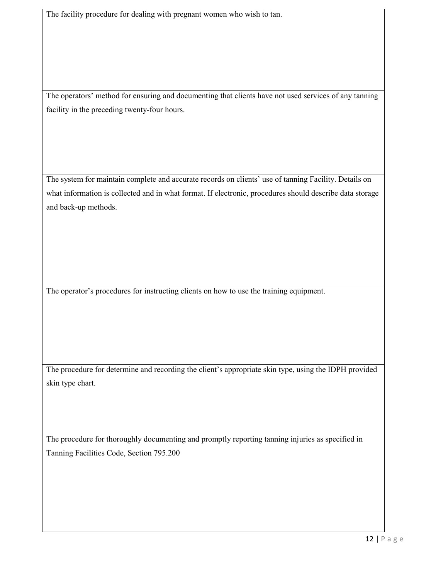The facility procedure for dealing with pregnant women who wish to tan.

The operators' method for ensuring and documenting that clients have not used services of any tanning facility in the preceding twenty-four hours.

The system for maintain complete and accurate records on clients' use of tanning Facility. Details on what information is collected and in what format. If electronic, procedures should describe data storage and back-up methods.

The operator's procedures for instructing clients on how to use the training equipment.

The procedure for determine and recording the client's appropriate skin type, using the IDPH provided skin type chart.

The procedure for thoroughly documenting and promptly reporting tanning injuries as specified in Tanning Facilities Code, Section 795.200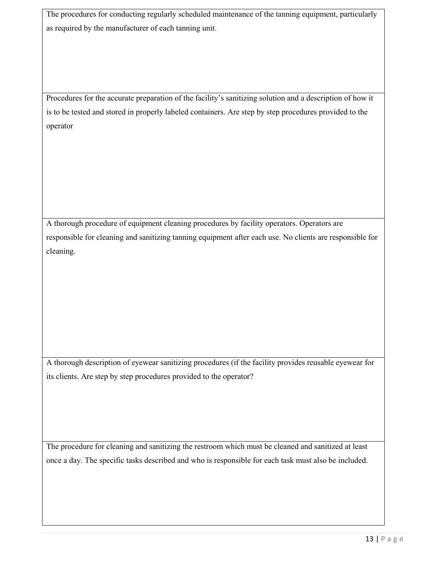The procedures for conducting regularly scheduled maintenance of the tanning equipment, particularly as required by the manufacturer of each tanning unit.

Procedures for the accurate preparation of the facility's sanitizing solution and a description of how it is to be tested and stored in properly labeled containers. Are step by step procedures provided to the operator

A thorough procedure of equipment cleaning procedures by facility operators. Operators are responsible for cleaning and sanitizing tanning equipment after each use. No clients are responsible for cleaning.

A thorough description of eyewear sanitizing procedures (if the facility provides reusable eyewear for its clients. Are step by step procedures provided to the operator?

The procedure for cleaning and sanitizing the restroom which must be cleaned and sanitized at least once a day. The specific tasks described and who is responsible for each task must also be included.